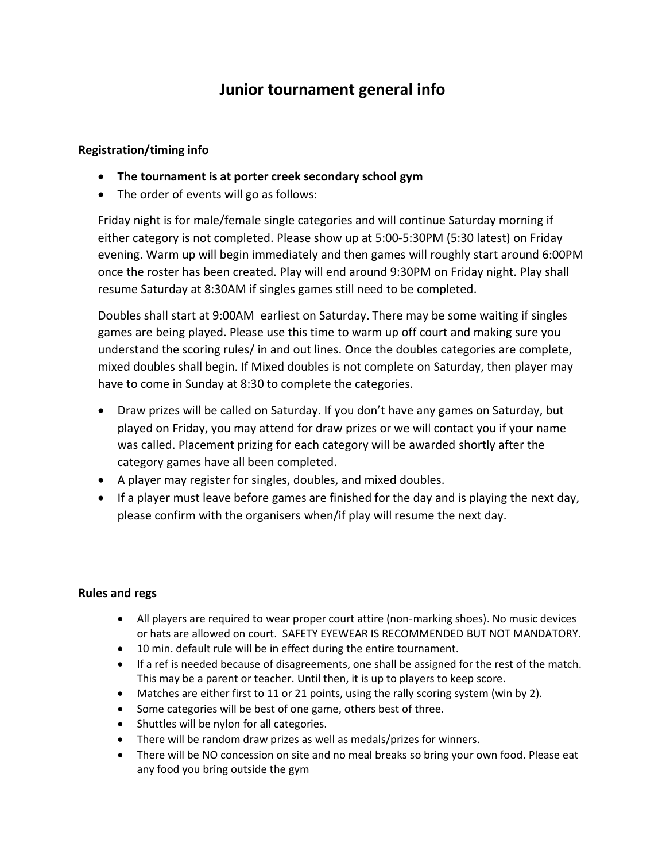## **Junior tournament general info**

### **Registration/timing info**

- **The tournament is at porter creek secondary school gym**
- The order of events will go as follows:

Friday night is for male/female single categories and will continue Saturday morning if either category is not completed. Please show up at 5:00-5:30PM (5:30 latest) on Friday evening. Warm up will begin immediately and then games will roughly start around 6:00PM once the roster has been created. Play will end around 9:30PM on Friday night. Play shall resume Saturday at 8:30AM if singles games still need to be completed.

Doubles shall start at 9:00AM earliest on Saturday. There may be some waiting if singles games are being played. Please use this time to warm up off court and making sure you understand the scoring rules/ in and out lines. Once the doubles categories are complete, mixed doubles shall begin. If Mixed doubles is not complete on Saturday, then player may have to come in Sunday at 8:30 to complete the categories.

- Draw prizes will be called on Saturday. If you don't have any games on Saturday, but played on Friday, you may attend for draw prizes or we will contact you if your name was called. Placement prizing for each category will be awarded shortly after the category games have all been completed.
- A player may register for singles, doubles, and mixed doubles.
- If a player must leave before games are finished for the day and is playing the next day, please confirm with the organisers when/if play will resume the next day.

#### **Rules and regs**

- All players are required to wear proper court attire (non-marking shoes). No music devices or hats are allowed on court. SAFETY EYEWEAR IS RECOMMENDED BUT NOT MANDATORY.
- 10 min. default rule will be in effect during the entire tournament.
- If a ref is needed because of disagreements, one shall be assigned for the rest of the match. This may be a parent or teacher. Until then, it is up to players to keep score.
- Matches are either first to 11 or 21 points, using the rally scoring system (win by 2).
- Some categories will be best of one game, others best of three.
- Shuttles will be nylon for all categories.
- There will be random draw prizes as well as medals/prizes for winners.
- There will be NO concession on site and no meal breaks so bring your own food. Please eat any food you bring outside the gym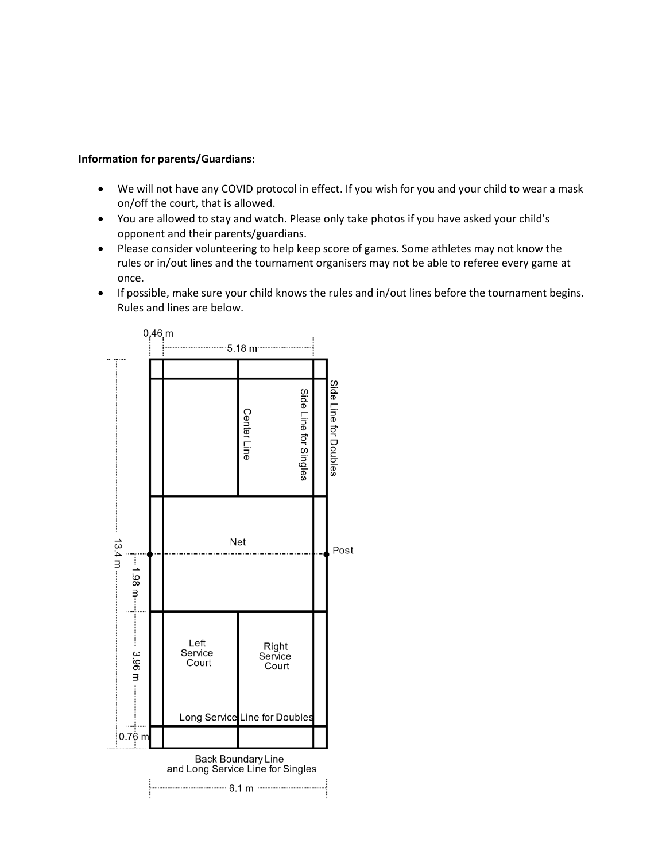#### **Information for parents/Guardians:**

- We will not have any COVID protocol in effect. If you wish for you and your child to wear a mask on/off the court, that is allowed.
- You are allowed to stay and watch. Please only take photos if you have asked your child's opponent and their parents/guardians.
- Please consider volunteering to help keep score of games. Some athletes may not know the rules or in/out lines and the tournament organisers may not be able to referee every game at once.
- If possible, make sure your child knows the rules and in/out lines before the tournament begins. Rules and lines are below.